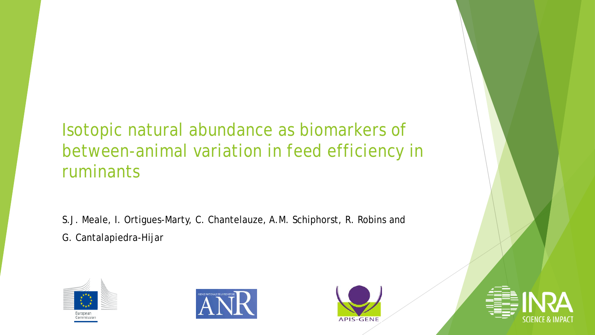Isotopic natural abundance as biomarkers of between-animal variation in feed efficiency in ruminants

S.J. Meale, I. Ortigues-Marty, C. Chantelauze, A.M. Schiphorst, R. Robins and G. Cantalapiedra-Hijar







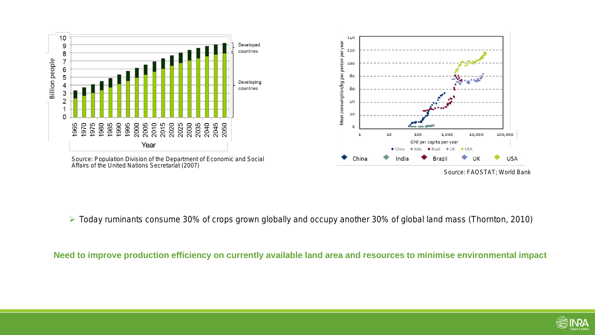

Source: FAOSTAT; World Bank

Today ruminants consume 30% of crops grown globally and occupy another 30% of global land mass (Thornton, 2010)

Need to improve production efficiency on currently available land area and resources to minimise environmental impact

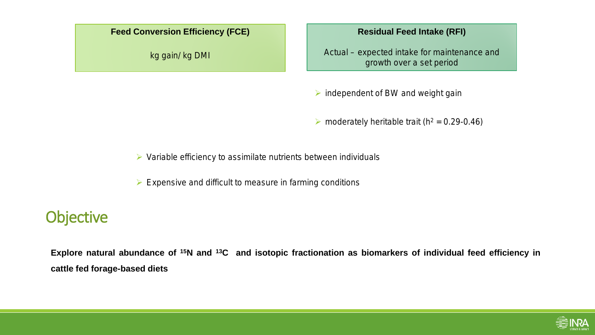

kg gain/ kg DMI

#### **Residual Feed Intake (RFI)**

Actual – expected intake for maintenance and growth over a set period

 $\triangleright$  independent of BW and weight gain

• moderately heritable trait ( $h^2 = 0.29 - 0.46$ )

 $\triangleright$  Variable efficiency to assimilate nutrients between individuals

 $\triangleright$  Expensive and difficult to measure in farming conditions

### **Objective**

Explore natural abundance of <sup>15</sup>N and <sup>13</sup>C and isotopic fractionation as biomarkers of individual feed efficiency in **cattle fed forage-based diets**

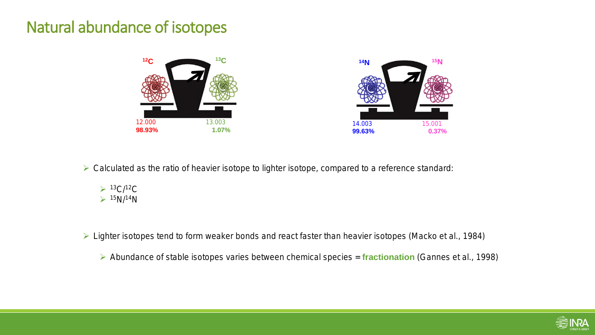#### Natural abundance of isotopes





 $\triangleright$  Calculated as the ratio of heavier isotope to lighter isotope, compared to a reference standard:



Lighter isotopes tend to form weaker bonds and react faster than heavier isotopes (Macko et al., 1984)

Abundance of stable isotopes varies between chemical species = **fractionation** (Gannes et al., 1998)

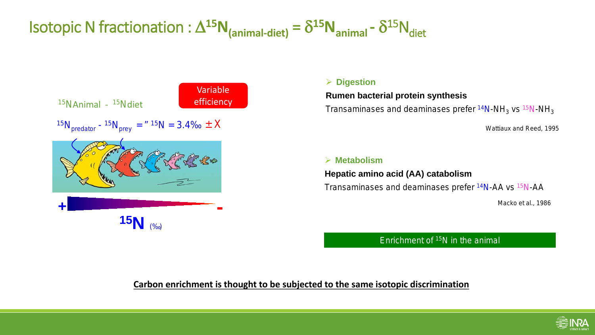## Isotopic N fractionation :  $\Delta^{15}N_{\text{(animal-diet)}} = \delta^{15}N_{\text{animal}} - \delta^{15}N_{\text{diet}}$



#### **Digestion**

**Rumen bacterial protein synthesis**

Transaminases and deaminases prefer <sup>14</sup>N-NH<sub>3</sub> *vs* <sup>15</sup>N-NH<sub>3</sub>

Wattiaux and Reed, 1995

#### **Metabolism**

**Hepatic amino acid (AA) catabolism**  Transaminases and deaminases prefer 14N-AA *vs* 15N-AA

Macko et al., 1986

Enrichment of 15N in the animal

#### **Carbon enrichment is thought to be subjected to the same isotopic discrimination**

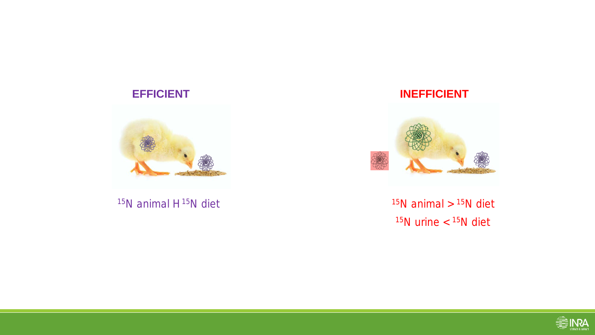#### **EFFICIENT**



<sup>15</sup>N animal H<sup>15</sup>N diet

**INEFFICIENT**



 $15N$  urine  $<$   $15N$  diet  $15N$  animal >  $15N$  diet

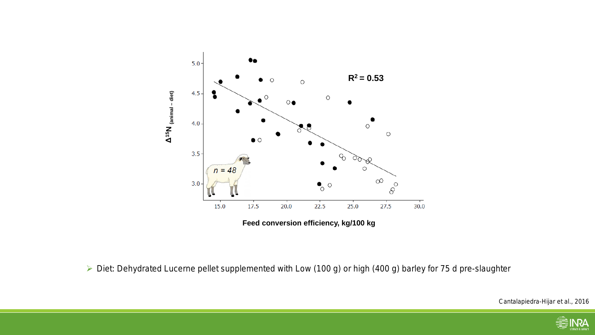

**Feed conversion efficiency, kg/100 kg** 

▶ Diet: Dehydrated Lucerne pellet supplemented with Low (100 g) or high (400 g) barley for 75 d pre-slaughter

Cantalapiedra-Hijar et al., 2016

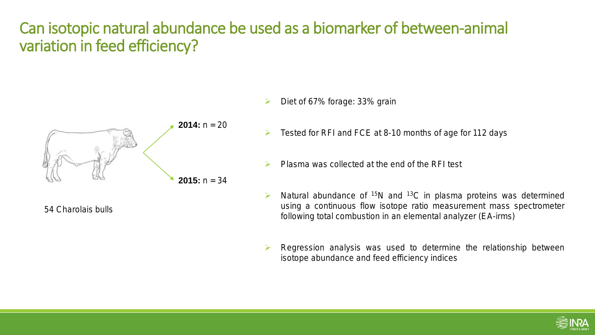### Can isotopic natural abundance be used as a biomarker of between-animal variation in feed efficiency?



54 Charolais bulls

- Diet of 67% forage: 33% grain
- $\triangleright$  Tested for RFI and FCE at 8-10 months of age for 112 days
- $\triangleright$  Plasma was collected at the end of the RFI test
- $\triangleright$  Natural abundance of <sup>15</sup>N and <sup>13</sup>C in plasma proteins was determined using a continuous flow isotope ratio measurement mass spectrometer following total combustion in an elemental analyzer (EA-irms)
- $\triangleright$  Regression analysis was used to determine the relationship between isotope abundance and feed efficiency indices

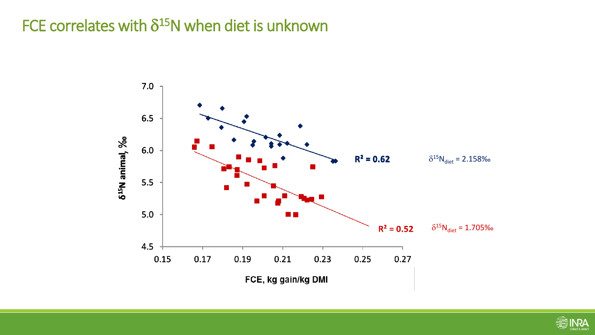### FCE correlates with  $\delta^{15}N$  when diet is unknown



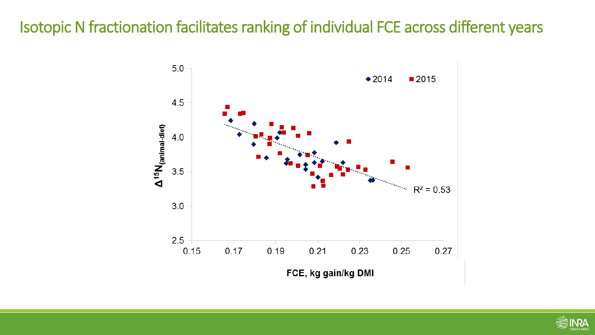### Isotopic N fractionation facilitates ranking of individual FCE across different years



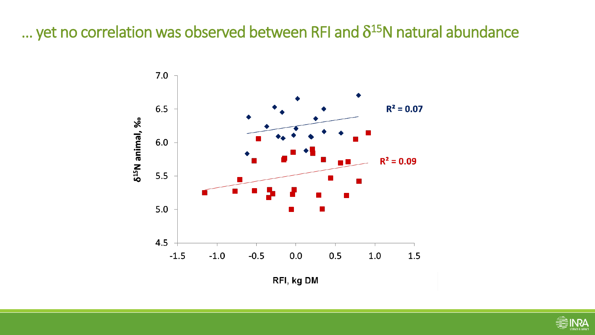#### ... yet no correlation was observed between RFI and  $\delta^{15}N$  natural abundance



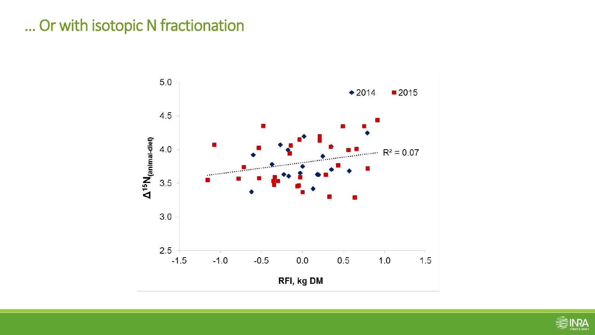### ... Or with isotopic N fractionation



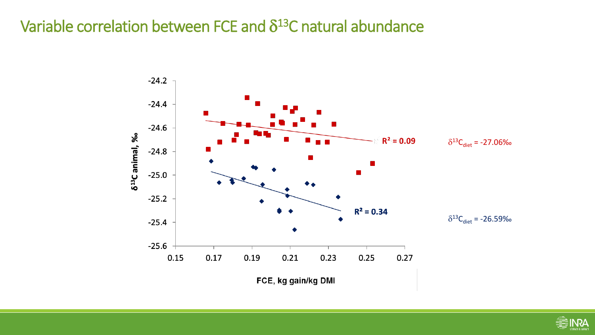### Variable correlation between FCE and  $\delta^{13}$ C natural abundance



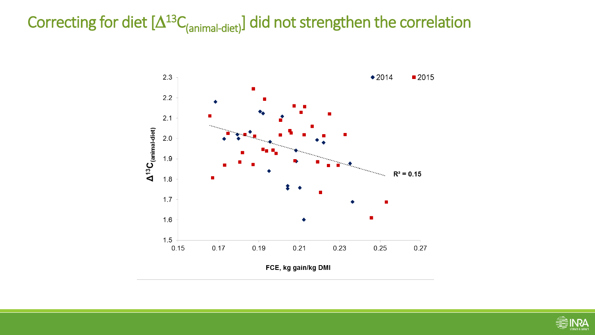## Correcting for diet  $[\Delta^{13}C_{(animal-diet)}]$  did not strengthen the correlation



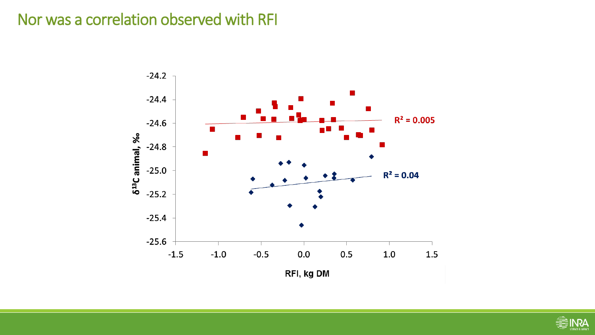### Nor was a correlation observed with RFI



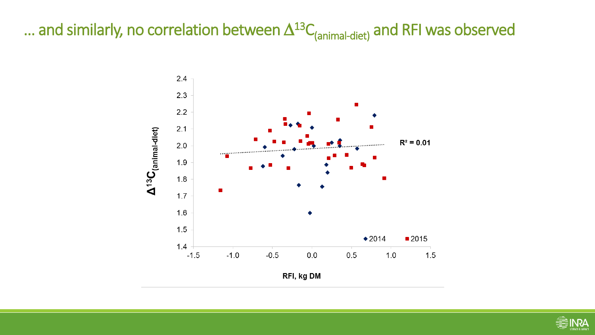## ... and similarly, no correlation between  $\Delta^{13}C_{(animal\text{-}dict)}$  and RFI was observed



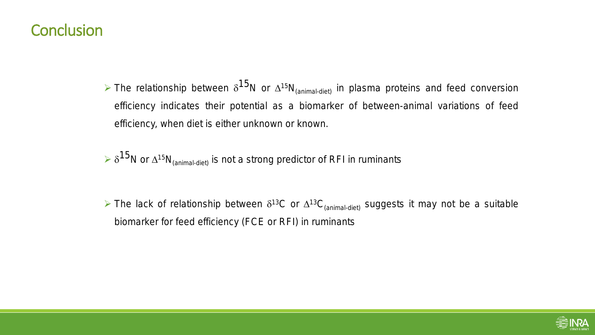#### **Conclusion**

- $\triangleright$  The relationship between δ<sup>15</sup>N or ∆<sup>15</sup>N<sub>(animal-diet)</sub> in plasma proteins and feed conversion efficiency indicates their potential as a biomarker of between-animal variations of feed efficiency, when diet is either unknown or known.
- $\delta^{15}$ N or  $\Delta^{15}N$ <sub>(animal-diet)</sub> is not a strong predictor of RFI in ruminants
- $\triangleright$  The lack of relationship between δ<sup>13</sup>C or  $\Delta$ <sup>13</sup>C<sub>(animal-diet)</sub> suggests it may not be a suitable biomarker for feed efficiency (FCE or RFI) in ruminants